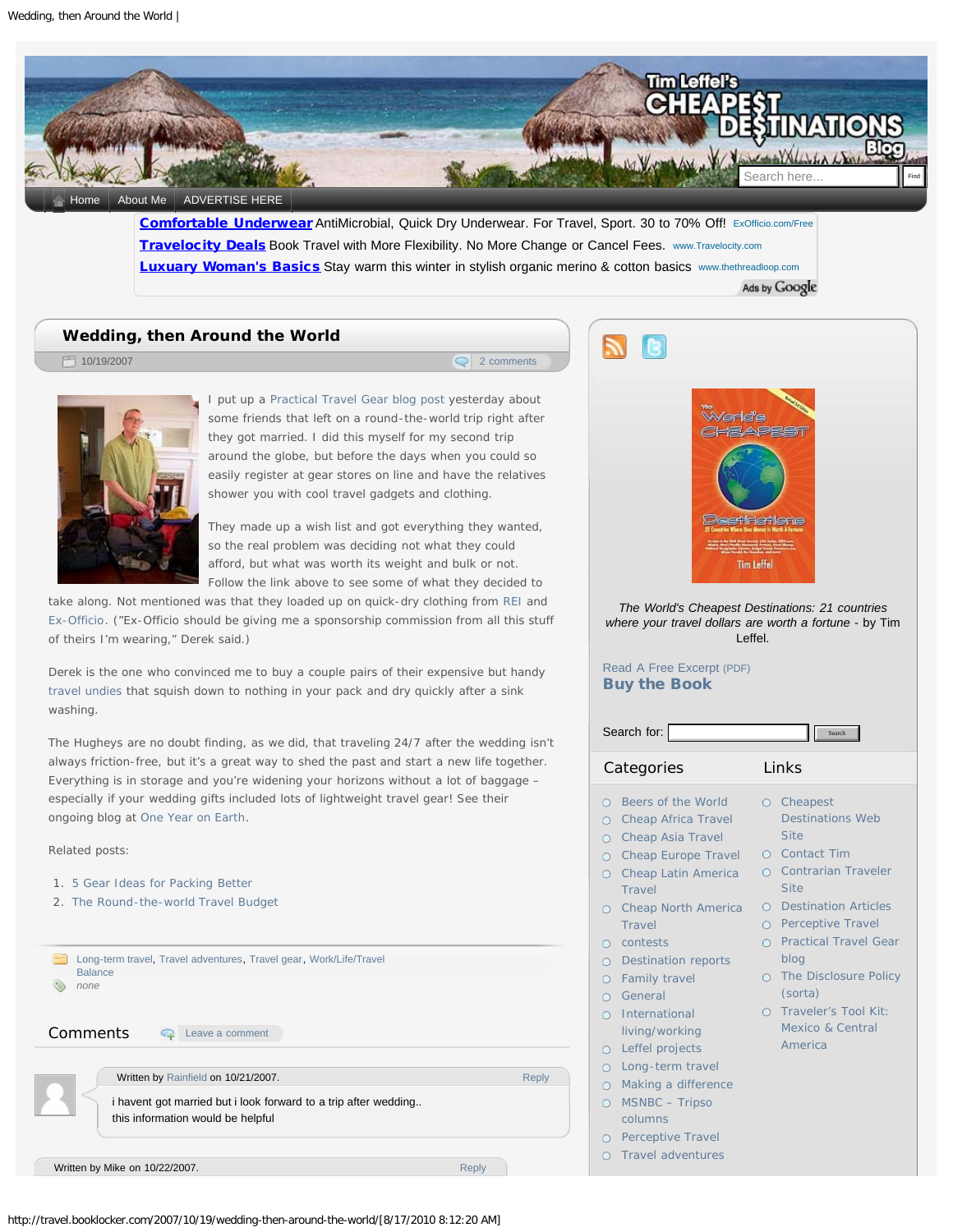<span id="page-0-0"></span>

[Travelocity Deals](http://pagead2.googlesyndication.com/aclk?sa=l&ai=BkyV4cnxqTI_tGda6lQe0t_iICpWTsaMBw8mUihPAjbcBwLEuEAIYAiDA5foCKAM4AFDImdWcAWDJhqOH1KOAEKABv9y4-AOyARV0cmF2ZWwuYm9va2xvY2tlci5jb226AQk3Mjh4OTBfYXPIAQHaAUZodHRwOi8vdHJhdmVsLmJvb2tsb2NrZXIuY29tLzIwMDcvMTAvMTkvd2VkZGluZy10aGVuLWFyb3VuZC10aGUtd29ybGQvyALNjKsKqAMByAMH6APzB-gD7QjoA8MF9QMAAADE&num=2&sig=AGiWqtweiZPcUAqb80wAzSLo1cDsK2RyJA&client=ca-pub-2437430617856187&adurl=http://tvlygen8.cpcmanager.com/241/%3F49248347%26OVMTC%3Dcontent%26site%3Dtravel.booklocker.com%26creative%3D5024699345%26OVKEY%3Donline%2520travel) Book Travel with More Flexibility. No More Change or Cancel Fees. www.Travelocity.com **[Luxuary Woman's Basics](http://pagead2.googlesyndication.com/aclk?sa=l&ai=BVVXDcnxqTI_tGda6lQe0t_iICpmK6sABwcKdnhjAjbcBkNYnEAMYAyDA5foCKAM4AFCb4ZKFBmDJhqOH1KOAELIBFXRyYXZlbC5ib29rbG9ja2VyLmNvbboBCTcyOHg5MF9hc8gBAdoBRmh0dHA6Ly90cmF2ZWwuYm9va2xvY2tlci5jb20vMjAwNy8xMC8xOS93ZWRkaW5nLXRoZW4tYXJvdW5kLXRoZS13b3JsZC-pAqFl90r7y6c-qAMByAMH6APzB-gD7QjoA8MF9QMAAADE&num=3&sig=AGiWqtySrUJOeuQGZoEHlzo3C4GfPmxe1Q&client=ca-pub-2437430617856187&adurl=http://www.thethreadloop.com/categories/113/Belle-%26-Beau)** Stay warm this winter in stylish organic merino & cotton basics www.thethreadloop.com

## **[Wedding, then Around the World](#page-0-0)**

 $\blacksquare$  10/19/2007 [2 comments](#page-1-1)



I put up a [Practical Travel Gear blog post](http://practicaltravelgear.blogspot.com/2007/10/couples-round-world-gadget-packing.html) yesterday about some friends that left on a round-the-world trip right after they got married. I did this myself for my second trip around the globe, but before the days when you could so easily register at gear stores on line and have the relatives shower you with cool travel gadgets and clothing.

They made up a wish list and got everything they wanted, so the real problem was deciding not what they could afford, but what was worth its weight and bulk or not. Follow the link above to see some of what they decided to

take along. Not mentioned was that they loaded up on quick-dry clothing from [REI](http://www.anrdoezrs.net/click-1222312-10377112?cm_mmc=CJ-_-1120273-_-1222312-_-88x31%20REI%20Logo) and [Ex-Officio](http://clickserve.cc-dt.com/link/tplclick?lid=41000000010615347&pubid=21000000000081748). ("Ex-Officio should be giving me a sponsorship commission from all this stuff of theirs I'm wearing," Derek said.)

Derek is the one who convinced me to buy a couple pairs of their expensive but handy [travel undies](http://practicaltravelgear.blogspot.com/2007/09/quick-dry-travel-underwear.html) that squish down to nothing in your pack and dry quickly after a sink washing.

The Hugheys are no doubt finding, as we did, that traveling 24/7 after the wedding isn't always friction-free, but it's a great way to shed the past and start a new life together. Everything is in storage and you're widening your horizons without a lot of baggage – especially if your wedding gifts included lots of lightweight travel gear! See their ongoing blog at [One Year on Earth.](http://www.oneyearonearth.com/)

Related posts:

- 1. [5 Gear Ideas for Packing Better](http://travel.booklocker.com/2009/06/05/5-gear-ideas-for-packing-better/)
- 2. [The Round-the-world Travel Budget](http://travel.booklocker.com/2009/05/04/round-the-world-travel-budget/)

**[Long-term travel](http://travel.booklocker.com/category/long-term-travel/), [Travel adventures](http://travel.booklocker.com/category/travel-adventures/), [Travel gear](http://travel.booklocker.com/category/travel-gear/), [Work/Life/Travel](http://travel.booklocker.com/category/worklifetravel-balance/)** [Balance](http://travel.booklocker.com/category/worklifetravel-balance/) ♦ *none*

Comments **Q** [Leave a comment](#page-1-0)

Written by [Rainfield](http://tibetanconnections.com/) on 10/21/2007. The contract of the contract of the [Reply](http://travel.booklocker.com/2007/10/19/wedding-then-around-the-world/?replytocom=91869#respond)

i havent got married but i look forward to a trip after wedding.. this information would be helpful

Written by Mike on 10/22/2007. The contract of the contract of the contract of the [Reply](http://travel.booklocker.com/2007/10/19/wedding-then-around-the-world/?replytocom=91932#respond)





*The World's Cheapest Destinations: 21 countries where your travel dollars are worth a fortune* - by Tim Leffel.

## [Read A Free Excerpt \(PDF\)](http://booklocker.com/pdf/1037s.pdf) [Buy the Book](http://booklocker.com/p/books/1037.html?s=blog)

O [Travel adventures](http://travel.booklocker.com/category/travel-adventures/)

| Search for:<br>Search                                                   |                                                                                                                                                                                                                                                                                                                                                                       |                                  |                                                                                                                                                                                                                                                                                                             |
|-------------------------------------------------------------------------|-----------------------------------------------------------------------------------------------------------------------------------------------------------------------------------------------------------------------------------------------------------------------------------------------------------------------------------------------------------------------|----------------------------------|-------------------------------------------------------------------------------------------------------------------------------------------------------------------------------------------------------------------------------------------------------------------------------------------------------------|
| Categories                                                              |                                                                                                                                                                                                                                                                                                                                                                       | Links                            |                                                                                                                                                                                                                                                                                                             |
| O<br>О<br>O<br>O<br>O<br>O<br>Ο<br>0<br>0<br>O<br>O<br>О<br>Ο<br>0<br>O | Beers of the World<br>Cheap Africa Travel<br>Cheap Asia Travel<br><b>Cheap Europe Travel</b><br><b>Cheap Latin America</b><br>Travel<br><b>Cheap North America</b><br>Travel<br>contests<br>Destination reports<br><b>Family travel</b><br>General<br>International<br>living/working<br>Leffel projects<br>Long-term travel<br>Making a difference<br>MSNBC - Tripso | 0.<br>0<br>$\bigcirc$<br>Θ<br>0. | Cheapest<br><b>Destinations Web</b><br><b>Site</b><br><b>Q</b> Contact Tim<br>O Contrarian Traveler<br><b>Site</b><br><b>Destination Articles</b><br>O Perceptive Travel<br><b>Practical Travel Gear</b><br>blog<br>The Disclosure Policy<br>(sorta)<br>Traveler's Tool Kit:<br>Mexico & Central<br>America |
|                                                                         | columns<br>O Perceptive Travel                                                                                                                                                                                                                                                                                                                                        |                                  |                                                                                                                                                                                                                                                                                                             |